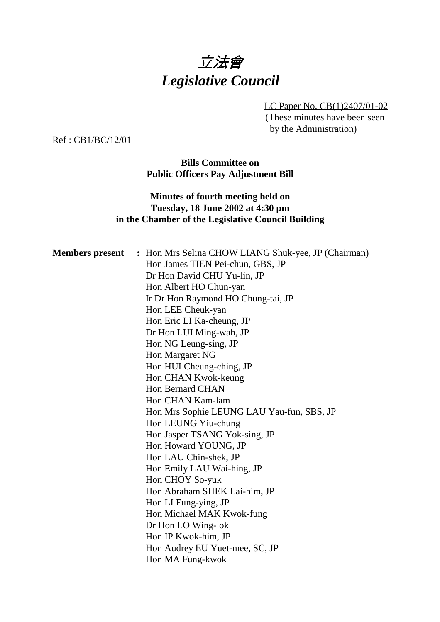

LC Paper No. CB(1)2407/01-02 (These minutes have been seen by the Administration)

Ref : CB1/BC/12/01

**Bills Committee on Public Officers Pay Adjustment Bill**

## **Minutes of fourth meeting held on Tuesday, 18 June 2002 at 4:30 pm in the Chamber of the Legislative Council Building**

| <b>Members</b> present | : Hon Mrs Selina CHOW LIANG Shuk-yee, JP (Chairman) |
|------------------------|-----------------------------------------------------|
|                        | Hon James TIEN Pei-chun, GBS, JP                    |
|                        | Dr Hon David CHU Yu-lin, JP                         |
|                        | Hon Albert HO Chun-yan                              |
|                        | Ir Dr Hon Raymond HO Chung-tai, JP                  |
|                        | Hon LEE Cheuk-yan                                   |
|                        | Hon Eric LI Ka-cheung, JP                           |
|                        | Dr Hon LUI Ming-wah, JP                             |
|                        | Hon NG Leung-sing, JP                               |
|                        | Hon Margaret NG                                     |
|                        | Hon HUI Cheung-ching, JP                            |
|                        | Hon CHAN Kwok-keung                                 |
|                        | <b>Hon Bernard CHAN</b>                             |
|                        | Hon CHAN Kam-lam                                    |
|                        | Hon Mrs Sophie LEUNG LAU Yau-fun, SBS, JP           |
|                        | Hon LEUNG Yiu-chung                                 |
|                        | Hon Jasper TSANG Yok-sing, JP                       |
|                        | Hon Howard YOUNG, JP                                |
|                        | Hon LAU Chin-shek, JP                               |
|                        | Hon Emily LAU Wai-hing, JP                          |
|                        | Hon CHOY So-yuk                                     |
|                        | Hon Abraham SHEK Lai-him, JP                        |
|                        | Hon LI Fung-ying, JP                                |
|                        | Hon Michael MAK Kwok-fung                           |
|                        | Dr Hon LO Wing-lok                                  |
|                        | Hon IP Kwok-him, JP                                 |
|                        | Hon Audrey EU Yuet-mee, SC, JP                      |
|                        | Hon MA Fung-kwok                                    |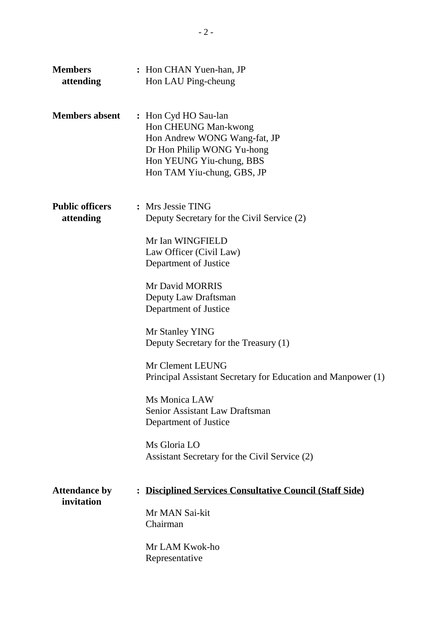| <b>Members</b><br>attending         | : Hon CHAN Yuen-han, JP<br>Hon LAU Ping-cheung                                                                                                                                                                                                                                                                                                                                                                                                                                                                  |
|-------------------------------------|-----------------------------------------------------------------------------------------------------------------------------------------------------------------------------------------------------------------------------------------------------------------------------------------------------------------------------------------------------------------------------------------------------------------------------------------------------------------------------------------------------------------|
| <b>Members absent</b>               | : Hon Cyd HO Sau-lan<br>Hon CHEUNG Man-kwong<br>Hon Andrew WONG Wang-fat, JP<br>Dr Hon Philip WONG Yu-hong<br>Hon YEUNG Yiu-chung, BBS<br>Hon TAM Yiu-chung, GBS, JP                                                                                                                                                                                                                                                                                                                                            |
| <b>Public officers</b><br>attending | : Mrs Jessie TING<br>Deputy Secretary for the Civil Service (2)<br>Mr Ian WINGFIELD<br>Law Officer (Civil Law)<br>Department of Justice<br>Mr David MORRIS<br>Deputy Law Draftsman<br>Department of Justice<br>Mr Stanley YING<br>Deputy Secretary for the Treasury (1)<br>Mr Clement LEUNG<br>Principal Assistant Secretary for Education and Manpower (1)<br>Ms Monica LAW<br><b>Senior Assistant Law Draftsman</b><br>Department of Justice<br>Ms Gloria LO<br>Assistant Secretary for the Civil Service (2) |
| <b>Attendance by</b><br>invitation  | <b>Disciplined Services Consultative Council (Staff Side)</b><br>$\ddot{\cdot}$<br>Mr MAN Sai-kit<br>Chairman<br>Mr LAM Kwok-ho<br>Representative                                                                                                                                                                                                                                                                                                                                                               |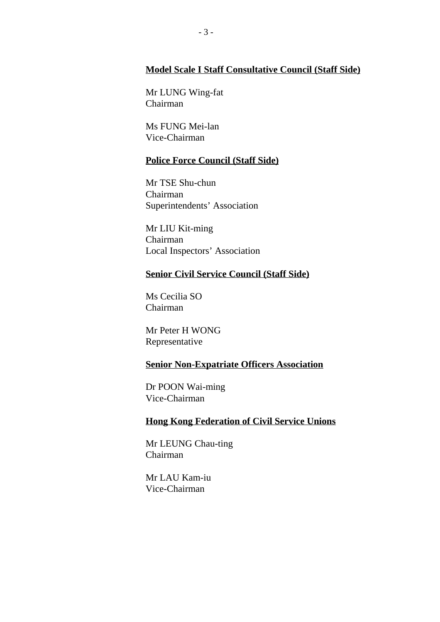## **Model Scale I Staff Consultative Council (Staff Side)**

Mr LUNG Wing-fat Chairman

Ms FUNG Mei-lan Vice-Chairman

### **Police Force Council (Staff Side)**

Mr TSE Shu-chun Chairman Superintendents' Association

Mr LIU Kit-ming Chairman Local Inspectors' Association

### **Senior Civil Service Council (Staff Side)**

Ms Cecilia SO Chairman

Mr Peter H WONG Representative

## **Senior Non-Expatriate Officers Association**

Dr POON Wai-ming Vice-Chairman

## **Hong Kong Federation of Civil Service Unions**

Mr LEUNG Chau-ting Chairman

Mr LAU Kam-iu Vice-Chairman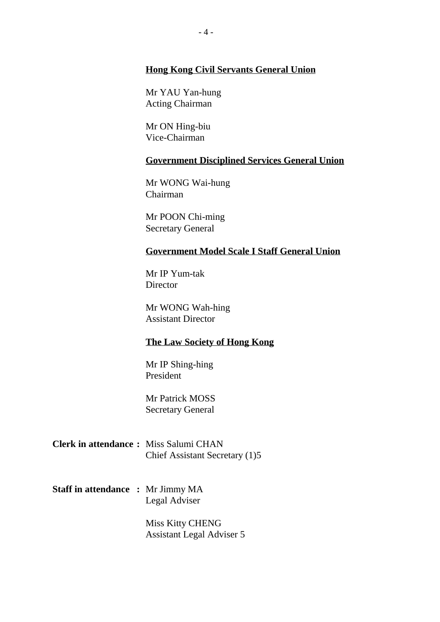## **Hong Kong Civil Servants General Union**

Mr YAU Yan-hung Acting Chairman

Mr ON Hing-biu Vice-Chairman

### **Government Disciplined Services General Union**

Mr WONG Wai-hung Chairman

Mr POON Chi-ming Secretary General

### **Government Model Scale I Staff General Union**

Mr IP Yum-tak **Director** 

Mr WONG Wah-hing Assistant Director

#### **The Law Society of Hong Kong**

Mr IP Shing-hing President

Mr Patrick MOSS Secretary General

- **Clerk in attendance :** Miss Salumi CHAN Chief Assistant Secretary (1)5
- **Staff in attendance :** Mr Jimmy MA Legal Adviser

Miss Kitty CHENG Assistant Legal Adviser 5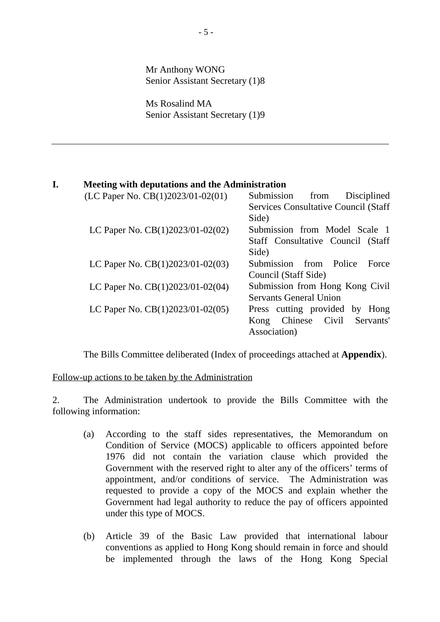Mr Anthony WONG Senior Assistant Secretary (1)8

Ms Rosalind MA Senior Assistant Secretary (1)9

### **I. Meeting with deputations and the Administration**

| $(LC$ Paper No. $CB(1)2023/01-02(01)$ Submission from Disciplined    |                                             |
|----------------------------------------------------------------------|---------------------------------------------|
|                                                                      | <b>Services Consultative Council (Staff</b> |
|                                                                      | Side)                                       |
| LC Paper No. $CB(1)2023/01-02(02)$ Submission from Model Scale 1     |                                             |
|                                                                      | Staff Consultative Council (Staff           |
|                                                                      | Side)                                       |
| LC Paper No. $CB(1)2023/01-02(03)$ - Submission from Police          | Force                                       |
|                                                                      | Council (Staff Side)                        |
| LC Paper No. $CB(1)2023/01-02(04)$ - Submission from Hong Kong Civil |                                             |
|                                                                      | <b>Servants General Union</b>               |
| LC Paper No. $CB(1)2023/01-02(05)$ Press cutting provided by Hong    |                                             |
|                                                                      | Kong Chinese Civil Servants'                |
|                                                                      | Association)                                |

The Bills Committee deliberated (Index of proceedings attached at **Appendix**).

### Follow-up actions to be taken by the Administration

2. The Administration undertook to provide the Bills Committee with the following information:

- (a) According to the staff sides representatives, the Memorandum on Condition of Service (MOCS) applicable to officers appointed before 1976 did not contain the variation clause which provided the Government with the reserved right to alter any of the officers' terms of appointment, and/or conditions of service. The Administration was requested to provide a copy of the MOCS and explain whether the Government had legal authority to reduce the pay of officers appointed under this type of MOCS.
- (b) Article 39 of the Basic Law provided that international labour conventions as applied to Hong Kong should remain in force and should be implemented through the laws of the Hong Kong Special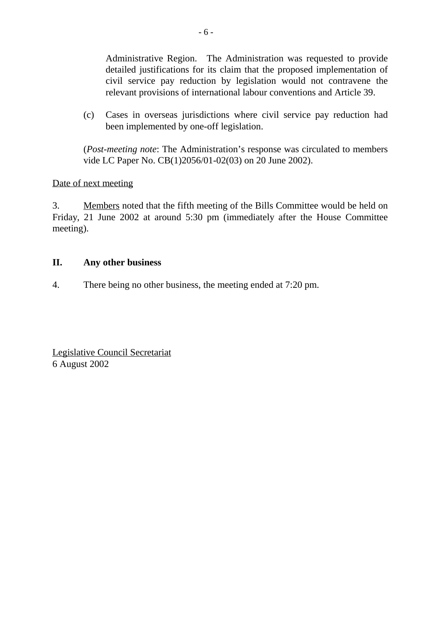Administrative Region. The Administration was requested to provide detailed justifications for its claim that the proposed implementation of civil service pay reduction by legislation would not contravene the relevant provisions of international labour conventions and Article 39.

(c) Cases in overseas jurisdictions where civil service pay reduction had been implemented by one-off legislation.

(*Post-meeting note*: The Administration's response was circulated to members vide LC Paper No. CB(1)2056/01-02(03) on 20 June 2002).

## Date of next meeting

3. Members noted that the fifth meeting of the Bills Committee would be held on Friday, 21 June 2002 at around 5:30 pm (immediately after the House Committee meeting).

## **II. Any other business**

4. There being no other business, the meeting ended at 7:20 pm.

Legislative Council Secretariat 6 August 2002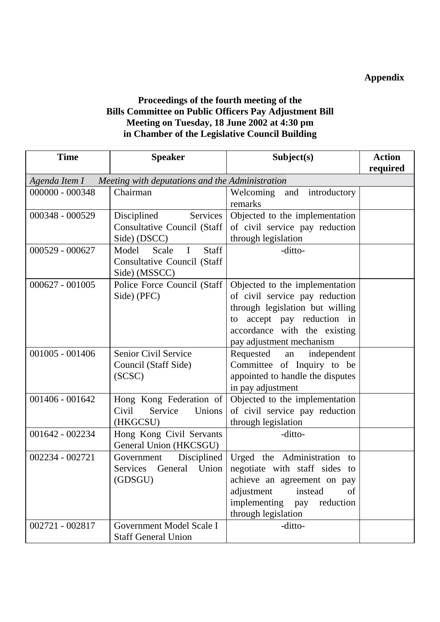## **Appendix**

## **Proceedings of the fourth meeting of the Bills Committee on Public Officers Pay Adjustment Bill Meeting on Tuesday, 18 June 2002 at 4:30 pm in Chamber of the Legislative Council Building**

| <b>Time</b>                                                     | <b>Speaker</b>                                      | Subject(s)                                                 | <b>Action</b><br>required |
|-----------------------------------------------------------------|-----------------------------------------------------|------------------------------------------------------------|---------------------------|
| Agenda Item I — Meeting with deputations and the Administration |                                                     |                                                            |                           |
| 000000 - 000348                                                 | Chairman                                            | Welcoming<br>and introductory                              |                           |
|                                                                 |                                                     | remarks                                                    |                           |
| 000348 - 000529                                                 | Disciplined<br>Services                             | Objected to the implementation                             |                           |
|                                                                 | <b>Consultative Council (Staff</b>                  | of civil service pay reduction                             |                           |
|                                                                 | Side) (DSCC)                                        | through legislation                                        |                           |
| 000529 - 000627                                                 | Staff<br>Scale<br>$\mathbf I$<br>Model              | -ditto-                                                    |                           |
|                                                                 | Consultative Council (Staff                         |                                                            |                           |
|                                                                 | Side) (MSSCC)                                       |                                                            |                           |
| $000627 - 001005$                                               | Police Force Council (Staff                         | Objected to the implementation                             |                           |
|                                                                 | Side) (PFC)                                         | of civil service pay reduction                             |                           |
|                                                                 |                                                     | through legislation but willing                            |                           |
|                                                                 |                                                     | to accept pay reduction in                                 |                           |
|                                                                 |                                                     | accordance with the existing                               |                           |
|                                                                 |                                                     | pay adjustment mechanism                                   |                           |
| $001005 - 001406$                                               | Senior Civil Service                                | Requested<br>independent<br>an                             |                           |
|                                                                 | Council (Staff Side)                                | Committee of Inquiry to be                                 |                           |
|                                                                 | (SCSC)                                              | appointed to handle the disputes                           |                           |
|                                                                 |                                                     | in pay adjustment                                          |                           |
| 001406 - 001642                                                 | Hong Kong Federation of                             | Objected to the implementation                             |                           |
|                                                                 | Civil<br>Service<br>Unions                          | of civil service pay reduction                             |                           |
|                                                                 | (HKGCSU)                                            | through legislation                                        |                           |
| 001642 - 002234                                                 | Hong Kong Civil Servants                            | -ditto-                                                    |                           |
|                                                                 | General Union (HKCSGU)                              |                                                            |                           |
| 002234 - 002721                                                 | Government Disciplined<br>Union<br>Services General | Urged the Administration to                                |                           |
|                                                                 | (GDSGU)                                             | negotiate with staff sides to                              |                           |
|                                                                 |                                                     | achieve an agreement on pay<br>adjustment<br>instead<br>of |                           |
|                                                                 |                                                     | implementing<br>reduction<br>pay                           |                           |
|                                                                 |                                                     | through legislation                                        |                           |
| 002721 - 002817                                                 | Government Model Scale I                            | -ditto-                                                    |                           |
|                                                                 | <b>Staff General Union</b>                          |                                                            |                           |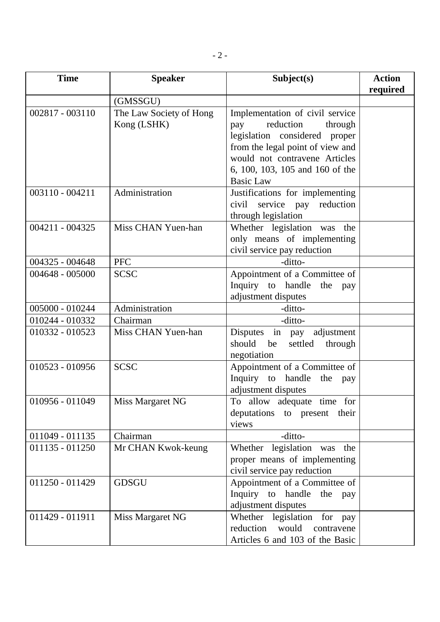- 2 -

| <b>Time</b>     | <b>Speaker</b>                         | Subject(s)                                                                                                                                                                                                                  | <b>Action</b><br>required |
|-----------------|----------------------------------------|-----------------------------------------------------------------------------------------------------------------------------------------------------------------------------------------------------------------------------|---------------------------|
|                 | (GMSSGU)                               |                                                                                                                                                                                                                             |                           |
| 002817 - 003110 | The Law Society of Hong<br>Kong (LSHK) | Implementation of civil service<br>reduction<br>through<br>pay<br>legislation considered proper<br>from the legal point of view and<br>would not contravene Articles<br>6, 100, 103, 105 and 160 of the<br><b>Basic Law</b> |                           |
| 003110 - 004211 | Administration                         | Justifications for implementing<br>civil service pay reduction<br>through legislation                                                                                                                                       |                           |
| 004211 - 004325 | Miss CHAN Yuen-han                     | Whether legislation was the<br>only means of implementing<br>civil service pay reduction                                                                                                                                    |                           |
| 004325 - 004648 | <b>PFC</b>                             | -ditto-                                                                                                                                                                                                                     |                           |
| 004648 - 005000 | <b>SCSC</b>                            | Appointment of a Committee of<br>Inquiry to handle<br>the pay<br>adjustment disputes                                                                                                                                        |                           |
| 005000 - 010244 | Administration                         | -ditto-                                                                                                                                                                                                                     |                           |
| 010244 - 010332 | Chairman                               | -ditto-                                                                                                                                                                                                                     |                           |
| 010332 - 010523 | Miss CHAN Yuen-han                     | Disputes in pay adjustment<br>should<br>be<br>settled<br>through<br>negotiation                                                                                                                                             |                           |
| 010523 - 010956 | <b>SCSC</b>                            | Appointment of a Committee of<br>Inquiry to handle the<br>pay<br>adjustment disputes                                                                                                                                        |                           |
| 010956 - 011049 | Miss Margaret NG                       | To allow adequate time for<br>deputations to present their<br>views                                                                                                                                                         |                           |
| 011049 - 011135 | Chairman                               | -ditto-                                                                                                                                                                                                                     |                           |
| 011135 - 011250 | Mr CHAN Kwok-keung                     | Whether legislation was<br>the<br>proper means of implementing<br>civil service pay reduction                                                                                                                               |                           |
| 011250 - 011429 | <b>GDSGU</b>                           | Appointment of a Committee of<br>Inquiry to handle<br>the<br>pay<br>adjustment disputes                                                                                                                                     |                           |
| 011429 - 011911 | Miss Margaret NG                       | Whether legislation<br>for pay<br>reduction<br>would<br>contravene<br>Articles 6 and 103 of the Basic                                                                                                                       |                           |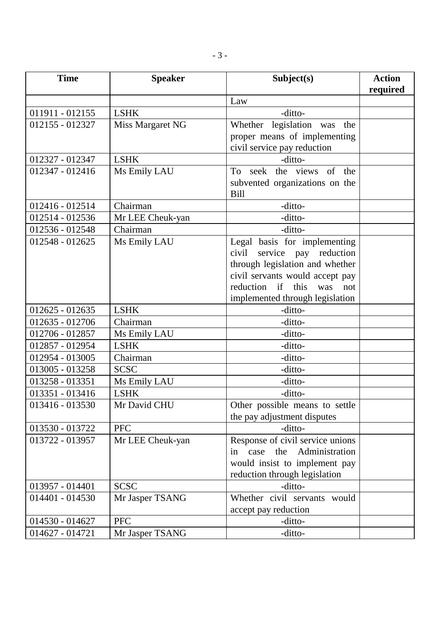| <b>Time</b>     | <b>Speaker</b>   | Subject(s)                          | <b>Action</b> |
|-----------------|------------------|-------------------------------------|---------------|
|                 |                  |                                     | required      |
|                 |                  | Law                                 |               |
| 011911 - 012155 | <b>LSHK</b>      | -ditto-                             |               |
| 012155 - 012327 | Miss Margaret NG | Whether legislation was<br>the      |               |
|                 |                  | proper means of implementing        |               |
|                 |                  | civil service pay reduction         |               |
| 012327 - 012347 | <b>LSHK</b>      | -ditto-                             |               |
| 012347 - 012416 | Ms Emily LAU     | seek the views of the<br>To         |               |
|                 |                  | subvented organizations on the      |               |
|                 |                  | <b>Bill</b>                         |               |
| 012416 - 012514 | Chairman         | -ditto-                             |               |
| 012514 - 012536 | Mr LEE Cheuk-yan | -ditto-                             |               |
| 012536 - 012548 | Chairman         | -ditto-                             |               |
| 012548 - 012625 | Ms Emily LAU     | Legal basis for implementing        |               |
|                 |                  | civil service pay reduction         |               |
|                 |                  | through legislation and whether     |               |
|                 |                  | civil servants would accept pay     |               |
|                 |                  | reduction if<br>this<br>was<br>not  |               |
|                 |                  | implemented through legislation     |               |
| 012625 - 012635 | <b>LSHK</b>      | -ditto-                             |               |
| 012635 - 012706 | Chairman         | -ditto-                             |               |
| 012706 - 012857 | Ms Emily LAU     | -ditto-                             |               |
| 012857 - 012954 | <b>LSHK</b>      | -ditto-                             |               |
| 012954 - 013005 | Chairman         | -ditto-                             |               |
| 013005 - 013258 | <b>SCSC</b>      | -ditto-                             |               |
| 013258 - 013351 | Ms Emily LAU     | -ditto-                             |               |
| 013351 - 013416 | <b>LSHK</b>      | -ditto-                             |               |
| 013416 - 013530 | Mr David CHU     | Other possible means to settle      |               |
|                 |                  | the pay adjustment disputes         |               |
| 013530 - 013722 | <b>PFC</b>       | -ditto-                             |               |
| 013722 - 013957 | Mr LEE Cheuk-yan | Response of civil service unions    |               |
|                 |                  | Administration<br>the<br>case<br>in |               |
|                 |                  | would insist to implement pay       |               |
|                 |                  | reduction through legislation       |               |
| 013957 - 014401 | <b>SCSC</b>      | -ditto-                             |               |
| 014401 - 014530 | Mr Jasper TSANG  | Whether civil servants would        |               |
|                 |                  | accept pay reduction                |               |
| 014530 - 014627 | <b>PFC</b>       | -ditto-                             |               |
| 014627 - 014721 | Mr Jasper TSANG  | -ditto-                             |               |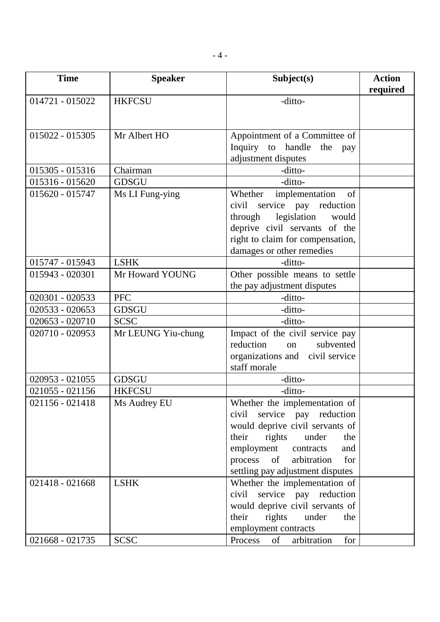- 4 -

| <b>Time</b>       | <b>Speaker</b>     | Subject(s)                          | <b>Action</b> |
|-------------------|--------------------|-------------------------------------|---------------|
|                   |                    |                                     | required      |
| 014721 - 015022   | <b>HKFCSU</b>      | -ditto-                             |               |
|                   |                    |                                     |               |
| 015022 - 015305   | Mr Albert HO       | Appointment of a Committee of       |               |
|                   |                    | Inquiry to handle<br>the<br>pay     |               |
|                   |                    | adjustment disputes                 |               |
| 015305 - 015316   | Chairman           | -ditto-                             |               |
| 015316 - 015620   | <b>GDSGU</b>       | -ditto-                             |               |
| 015620 - 015747   | Ms LI Fung-ying    | implementation<br>Whether<br>of     |               |
|                   |                    | civil<br>service pay reduction      |               |
|                   |                    | legislation<br>would<br>through     |               |
|                   |                    | deprive civil servants of the       |               |
|                   |                    | right to claim for compensation,    |               |
|                   |                    | damages or other remedies           |               |
| 015747 - 015943   | <b>LSHK</b>        | -ditto-                             |               |
| 015943 - 020301   | Mr Howard YOUNG    | Other possible means to settle      |               |
|                   |                    | the pay adjustment disputes         |               |
| 020301 - 020533   | <b>PFC</b>         | -ditto-                             |               |
| 020533 - 020653   | <b>GDSGU</b>       | -ditto-                             |               |
| $020653 - 020710$ | <b>SCSC</b>        | -ditto-                             |               |
| 020710 - 020953   | Mr LEUNG Yiu-chung | Impact of the civil service pay     |               |
|                   |                    | reduction<br>subvented<br>on        |               |
|                   |                    | organizations and civil service     |               |
|                   |                    | staff morale                        |               |
| 020953 - 021055   | <b>GDSGU</b>       | -ditto-                             |               |
| $021055 - 021156$ | <b>HKFCSU</b>      | -ditto-                             |               |
| 021156 - 021418   | Ms Audrey EU       | Whether the implementation of       |               |
|                   |                    | service pay reduction<br>civil      |               |
|                   |                    | would deprive civil servants of     |               |
|                   |                    | rights<br>their<br>under<br>the     |               |
|                   |                    | employment contracts<br>and         |               |
|                   |                    | of<br>arbitration<br>process<br>for |               |
|                   |                    | settling pay adjustment disputes    |               |
| 021418 - 021668   | <b>LSHK</b>        | Whether the implementation of       |               |
|                   |                    | service pay reduction<br>civil      |               |
|                   |                    | would deprive civil servants of     |               |
|                   |                    | rights<br>their<br>under<br>the     |               |
|                   |                    | employment contracts                |               |
| 021668 - 021735   | <b>SCSC</b>        | arbitration<br>for<br>Process<br>of |               |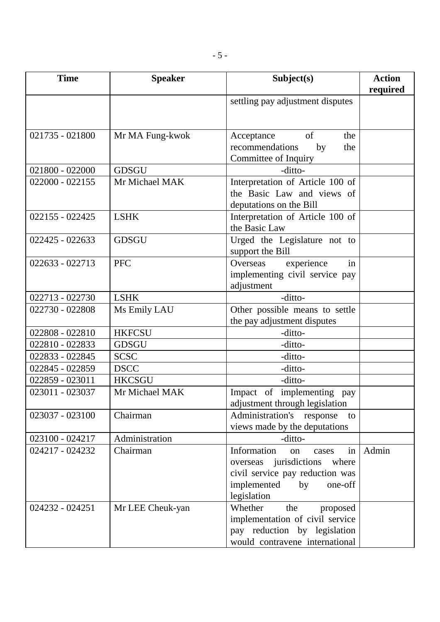- 5 -

| <b>Time</b>       | <b>Speaker</b>   | Subject(s)                                                                                                                                         | <b>Action</b><br>required |
|-------------------|------------------|----------------------------------------------------------------------------------------------------------------------------------------------------|---------------------------|
|                   |                  | settling pay adjustment disputes                                                                                                                   |                           |
| 021735 - 021800   | Mr MA Fung-kwok  | of<br>the<br>Acceptance<br>recommendations<br>by<br>the<br>Committee of Inquiry                                                                    |                           |
| 021800 - 022000   | <b>GDSGU</b>     | -ditto-                                                                                                                                            |                           |
| $022000 - 022155$ | Mr Michael MAK   | Interpretation of Article 100 of<br>the Basic Law and views of<br>deputations on the Bill                                                          |                           |
| 022155 - 022425   | <b>LSHK</b>      | Interpretation of Article 100 of<br>the Basic Law                                                                                                  |                           |
| 022425 - 022633   | <b>GDSGU</b>     | Urged the Legislature not to<br>support the Bill                                                                                                   |                           |
| 022633 - 022713   | <b>PFC</b>       | experience<br>in<br>Overseas<br>implementing civil service pay<br>adjustment                                                                       |                           |
| 022713 - 022730   | <b>LSHK</b>      | -ditto-                                                                                                                                            |                           |
| 022730 - 022808   | Ms Emily LAU     | Other possible means to settle<br>the pay adjustment disputes                                                                                      |                           |
| 022808 - 022810   | <b>HKFCSU</b>    | -ditto-                                                                                                                                            |                           |
| 022810 - 022833   | <b>GDSGU</b>     | -ditto-                                                                                                                                            |                           |
| 022833 - 022845   | <b>SCSC</b>      | -ditto-                                                                                                                                            |                           |
| 022845 - 022859   | <b>DSCC</b>      | -ditto-                                                                                                                                            |                           |
| 022859 - 023011   | <b>HKCSGU</b>    | -ditto-                                                                                                                                            |                           |
| 023011 - 023037   | Mr Michael MAK   | Impact of implementing pay<br>adjustment through legislation                                                                                       |                           |
| 023037 - 023100   | Chairman         | Administration's response<br>to<br>views made by the deputations                                                                                   |                           |
| 023100 - 024217   | Administration   | -ditto-                                                                                                                                            |                           |
| 024217 - 024232   | Chairman         | Information<br>in<br>on<br>cases<br>overseas jurisdictions where<br>civil service pay reduction was<br>implemented<br>one-off<br>by<br>legislation | Admin                     |
| 024232 - 024251   | Mr LEE Cheuk-yan | Whether<br>the<br>proposed<br>implementation of civil service<br>pay reduction by legislation<br>would contravene international                    |                           |